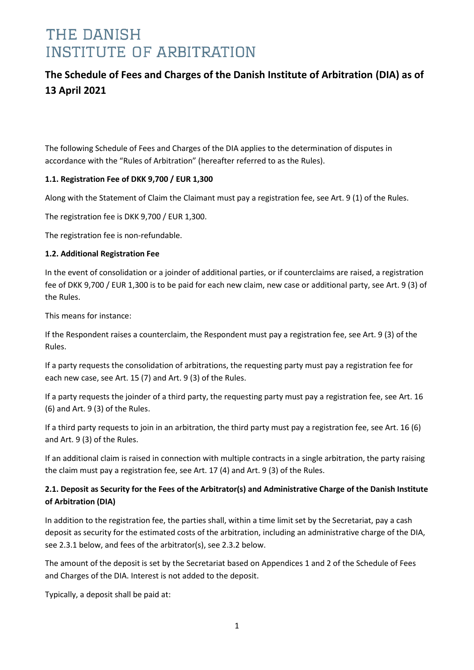### **The Schedule of Fees and Charges of the Danish Institute of Arbitration (DIA) as of 13 April 2021**

The following Schedule of Fees and Charges of the DIA applies to the determination of disputes in accordance with the "Rules of Arbitration" (hereafter referred to as the Rules).

### **1.1. Registration Fee of DKK 9,700 / EUR 1,300**

Along with the Statement of Claim the Claimant must pay a registration fee, see Art. 9 (1) of the Rules.

The registration fee is DKK 9,700 / EUR 1,300.

The registration fee is non-refundable.

#### **1.2. Additional Registration Fee**

In the event of consolidation or a joinder of additional parties, or if counterclaims are raised, a registration fee of DKK 9,700 / EUR 1,300 is to be paid for each new claim, new case or additional party, see Art. 9 (3) of the Rules.

This means for instance:

If the Respondent raises a counterclaim, the Respondent must pay a registration fee, see Art. 9 (3) of the Rules.

If a party requests the consolidation of arbitrations, the requesting party must pay a registration fee for each new case, see Art. 15 (7) and Art. 9 (3) of the Rules.

If a party requests the joinder of a third party, the requesting party must pay a registration fee, see Art. 16 (6) and Art. 9 (3) of the Rules.

If a third party requests to join in an arbitration, the third party must pay a registration fee, see Art. 16 (6) and Art. 9 (3) of the Rules.

If an additional claim is raised in connection with multiple contracts in a single arbitration, the party raising the claim must pay a registration fee, see Art. 17 (4) and Art. 9 (3) of the Rules.

### **2.1. Deposit as Security for the Fees of the Arbitrator(s) and Administrative Charge of the Danish Institute of Arbitration (DIA)**

In addition to the registration fee, the parties shall, within a time limit set by the Secretariat, pay a cash deposit as security for the estimated costs of the arbitration, including an administrative charge of the DIA, see 2.3.1 below, and fees of the arbitrator(s), see 2.3.2 below.

The amount of the deposit is set by the Secretariat based on Appendices 1 and 2 of the Schedule of Fees and Charges of the DIA. Interest is not added to the deposit.

Typically, a deposit shall be paid at: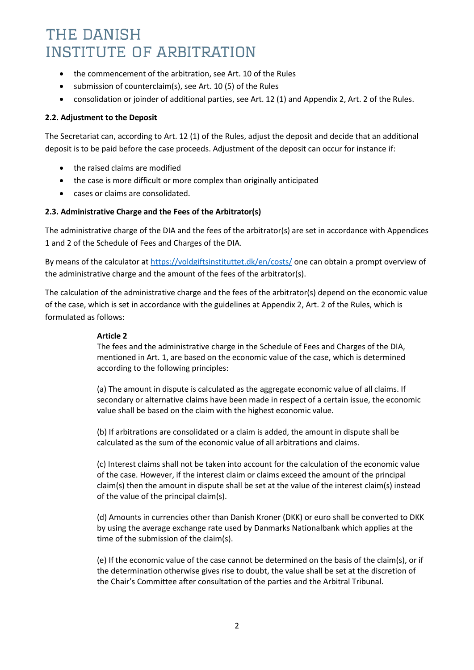- the commencement of the arbitration, see Art. 10 of the Rules
- submission of counterclaim(s), see Art. 10 (5) of the Rules
- consolidation or joinder of additional parties, see Art. 12 (1) and Appendix 2, Art. 2 of the Rules.

#### **2.2. Adjustment to the Deposit**

The Secretariat can, according to Art. 12 (1) of the Rules, adjust the deposit and decide that an additional deposit is to be paid before the case proceeds. Adjustment of the deposit can occur for instance if:

- the raised claims are modified
- the case is more difficult or more complex than originally anticipated
- cases or claims are consolidated.

#### **2.3. Administrative Charge and the Fees of the Arbitrator(s)**

The administrative charge of the DIA and the fees of the arbitrator(s) are set in accordance with Appendices 1 and 2 of the Schedule of Fees and Charges of the DIA.

By means of the calculator at<https://voldgiftsinstituttet.dk/en/costs/> one can obtain a prompt overview of the administrative charge and the amount of the fees of the arbitrator(s).

The calculation of the administrative charge and the fees of the arbitrator(s) depend on the economic value of the case, which is set in accordance with the guidelines at Appendix 2, Art. 2 of the Rules, which is formulated as follows:

#### **Article 2**

The fees and the administrative charge in the Schedule of Fees and Charges of the DIA, mentioned in Art. 1, are based on the economic value of the case, which is determined according to the following principles:

(a) The amount in dispute is calculated as the aggregate economic value of all claims. If secondary or alternative claims have been made in respect of a certain issue, the economic value shall be based on the claim with the highest economic value.

(b) If arbitrations are consolidated or a claim is added, the amount in dispute shall be calculated as the sum of the economic value of all arbitrations and claims.

(c) Interest claims shall not be taken into account for the calculation of the economic value of the case. However, if the interest claim or claims exceed the amount of the principal claim(s) then the amount in dispute shall be set at the value of the interest claim(s) instead of the value of the principal claim(s).

(d) Amounts in currencies other than Danish Kroner (DKK) or euro shall be converted to DKK by using the average exchange rate used by Danmarks Nationalbank which applies at the time of the submission of the claim(s).

(e) If the economic value of the case cannot be determined on the basis of the claim(s), or if the determination otherwise gives rise to doubt, the value shall be set at the discretion of the Chair's Committee after consultation of the parties and the Arbitral Tribunal.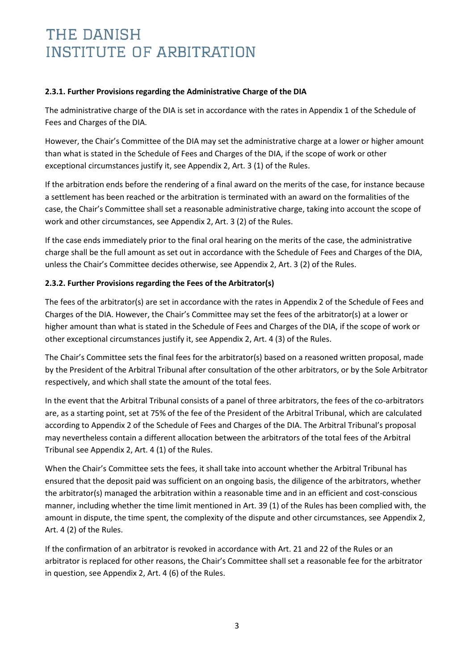#### **2.3.1. Further Provisions regarding the Administrative Charge of the DIA**

The administrative charge of the DIA is set in accordance with the rates in Appendix 1 of the Schedule of Fees and Charges of the DIA.

However, the Chair's Committee of the DIA may set the administrative charge at a lower or higher amount than what is stated in the Schedule of Fees and Charges of the DIA, if the scope of work or other exceptional circumstances justify it, see Appendix 2, Art. 3 (1) of the Rules.

If the arbitration ends before the rendering of a final award on the merits of the case, for instance because a settlement has been reached or the arbitration is terminated with an award on the formalities of the case, the Chair's Committee shall set a reasonable administrative charge, taking into account the scope of work and other circumstances, see Appendix 2, Art. 3 (2) of the Rules.

If the case ends immediately prior to the final oral hearing on the merits of the case, the administrative charge shall be the full amount as set out in accordance with the Schedule of Fees and Charges of the DIA, unless the Chair's Committee decides otherwise, see Appendix 2, Art. 3 (2) of the Rules.

#### **2.3.2. Further Provisions regarding the Fees of the Arbitrator(s)**

The fees of the arbitrator(s) are set in accordance with the rates in Appendix 2 of the Schedule of Fees and Charges of the DIA. However, the Chair's Committee may set the fees of the arbitrator(s) at a lower or higher amount than what is stated in the Schedule of Fees and Charges of the DIA, if the scope of work or other exceptional circumstances justify it, see Appendix 2, Art. 4 (3) of the Rules.

The Chair's Committee sets the final fees for the arbitrator(s) based on a reasoned written proposal, made by the President of the Arbitral Tribunal after consultation of the other arbitrators, or by the Sole Arbitrator respectively, and which shall state the amount of the total fees.

In the event that the Arbitral Tribunal consists of a panel of three arbitrators, the fees of the co-arbitrators are, as a starting point, set at 75% of the fee of the President of the Arbitral Tribunal, which are calculated according to Appendix 2 of the Schedule of Fees and Charges of the DIA. The Arbitral Tribunal's proposal may nevertheless contain a different allocation between the arbitrators of the total fees of the Arbitral Tribunal see Appendix 2, Art. 4 (1) of the Rules.

When the Chair's Committee sets the fees, it shall take into account whether the Arbitral Tribunal has ensured that the deposit paid was sufficient on an ongoing basis, the diligence of the arbitrators, whether the arbitrator(s) managed the arbitration within a reasonable time and in an efficient and cost-conscious manner, including whether the time limit mentioned in Art. 39 (1) of the Rules has been complied with, the amount in dispute, the time spent, the complexity of the dispute and other circumstances, see Appendix 2, Art. 4 (2) of the Rules.

If the confirmation of an arbitrator is revoked in accordance with Art. 21 and 22 of the Rules or an arbitrator is replaced for other reasons, the Chair's Committee shall set a reasonable fee for the arbitrator in question, see Appendix 2, Art. 4 (6) of the Rules.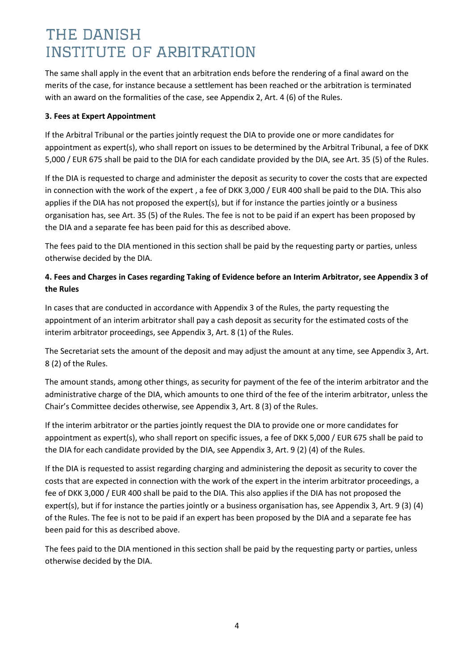The same shall apply in the event that an arbitration ends before the rendering of a final award on the merits of the case, for instance because a settlement has been reached or the arbitration is terminated with an award on the formalities of the case, see Appendix 2, Art. 4 (6) of the Rules.

#### **3. Fees at Expert Appointment**

If the Arbitral Tribunal or the parties jointly request the DIA to provide one or more candidates for appointment as expert(s), who shall report on issues to be determined by the Arbitral Tribunal, a fee of DKK 5,000 / EUR 675 shall be paid to the DIA for each candidate provided by the DIA, see Art. 35 (5) of the Rules.

If the DIA is requested to charge and administer the deposit as security to cover the costs that are expected in connection with the work of the expert , a fee of DKK 3,000 / EUR 400 shall be paid to the DIA. This also applies if the DIA has not proposed the expert(s), but if for instance the parties jointly or a business organisation has, see Art. 35 (5) of the Rules. The fee is not to be paid if an expert has been proposed by the DIA and a separate fee has been paid for this as described above.

The fees paid to the DIA mentioned in this section shall be paid by the requesting party or parties, unless otherwise decided by the DIA.

### **4. Fees and Charges in Cases regarding Taking of Evidence before an Interim Arbitrator, see Appendix 3 of the Rules**

In cases that are conducted in accordance with Appendix 3 of the Rules, the party requesting the appointment of an interim arbitrator shall pay a cash deposit as security for the estimated costs of the interim arbitrator proceedings, see Appendix 3, Art. 8 (1) of the Rules.

The Secretariat sets the amount of the deposit and may adjust the amount at any time, see Appendix 3, Art. 8 (2) of the Rules.

The amount stands, among other things, as security for payment of the fee of the interim arbitrator and the administrative charge of the DIA, which amounts to one third of the fee of the interim arbitrator, unless the Chair's Committee decides otherwise, see Appendix 3, Art. 8 (3) of the Rules.

If the interim arbitrator or the parties jointly request the DIA to provide one or more candidates for appointment as expert(s), who shall report on specific issues, a fee of DKK 5,000 / EUR 675 shall be paid to the DIA for each candidate provided by the DIA, see Appendix 3, Art. 9 (2) (4) of the Rules.

If the DIA is requested to assist regarding charging and administering the deposit as security to cover the costs that are expected in connection with the work of the expert in the interim arbitrator proceedings, a fee of DKK 3,000 / EUR 400 shall be paid to the DIA. This also applies if the DIA has not proposed the expert(s), but if for instance the parties jointly or a business organisation has, see Appendix 3, Art. 9 (3) (4) of the Rules. The fee is not to be paid if an expert has been proposed by the DIA and a separate fee has been paid for this as described above.

The fees paid to the DIA mentioned in this section shall be paid by the requesting party or parties, unless otherwise decided by the DIA.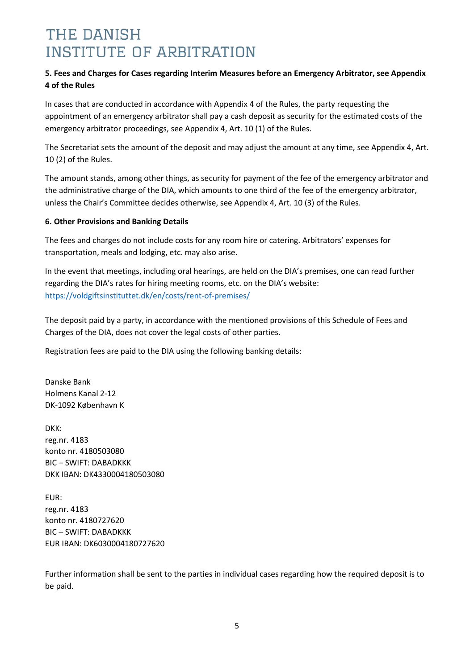### **5. Fees and Charges for Cases regarding Interim Measures before an Emergency Arbitrator, see Appendix 4 of the Rules**

In cases that are conducted in accordance with Appendix 4 of the Rules, the party requesting the appointment of an emergency arbitrator shall pay a cash deposit as security for the estimated costs of the emergency arbitrator proceedings, see Appendix 4, Art. 10 (1) of the Rules.

The Secretariat sets the amount of the deposit and may adjust the amount at any time, see Appendix 4, Art. 10 (2) of the Rules.

The amount stands, among other things, as security for payment of the fee of the emergency arbitrator and the administrative charge of the DIA, which amounts to one third of the fee of the emergency arbitrator, unless the Chair's Committee decides otherwise, see Appendix 4, Art. 10 (3) of the Rules.

#### **6. Other Provisions and Banking Details**

The fees and charges do not include costs for any room hire or catering. Arbitrators' expenses for transportation, meals and lodging, etc. may also arise.

In the event that meetings, including oral hearings, are held on the DIA's premises, one can read further regarding the DIA's rates for hiring meeting rooms, etc. on the DIA's website: <https://voldgiftsinstituttet.dk/en/costs/rent-of-premises/>

The deposit paid by a party, in accordance with the mentioned provisions of this Schedule of Fees and Charges of the DIA, does not cover the legal costs of other parties.

Registration fees are paid to the DIA using the following banking details:

Danske Bank Holmens Kanal 2-12 DK-1092 København K

DKK: reg.nr. 4183 konto nr. 4180503080 BIC – SWIFT: DABADKKK DKK IBAN: DK4330004180503080

EUR: reg.nr. 4183 konto nr. 4180727620 BIC – SWIFT: DABADKKK EUR IBAN: DK6030004180727620

Further information shall be sent to the parties in individual cases regarding how the required deposit is to be paid.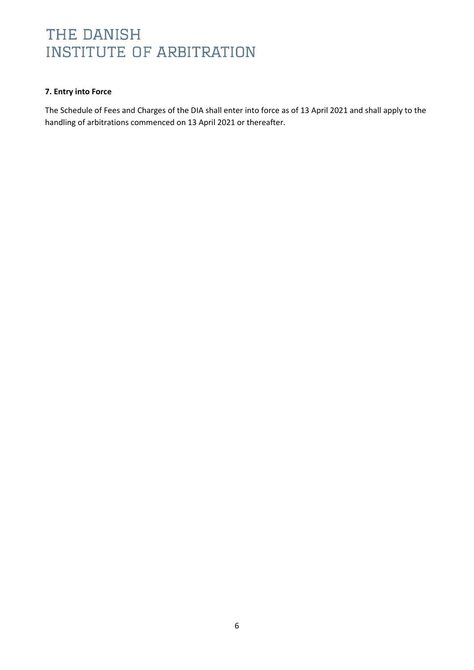#### **7. Entry into Force**

The Schedule of Fees and Charges of the DIA shall enter into force as of 13 April 2021 and shall apply to the handling of arbitrations commenced on 13 April 2021 or thereafter.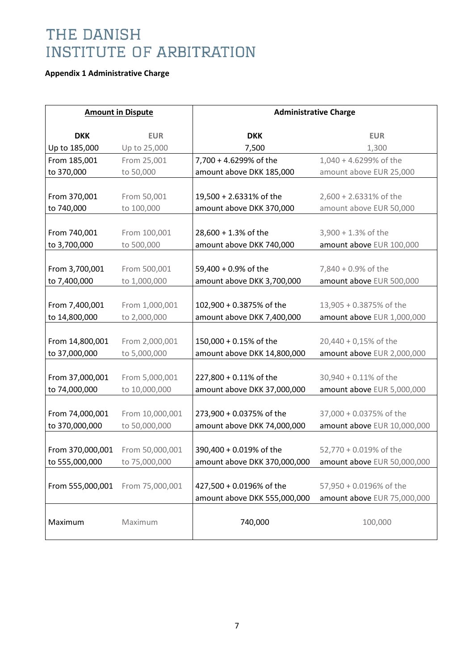### **Appendix 1 Administrative Charge**

| <b>Amount in Dispute</b> |                 | <b>Administrative Charge</b>                             |                             |  |  |
|--------------------------|-----------------|----------------------------------------------------------|-----------------------------|--|--|
|                          |                 |                                                          |                             |  |  |
| <b>DKK</b>               | <b>EUR</b>      | <b>DKK</b>                                               | <b>EUR</b>                  |  |  |
| Up to 185,000            | Up to 25,000    | 7,500                                                    | 1,300                       |  |  |
| From 185,001             | From 25,001     | 7,700 + 4.6299% of the                                   | 1,040 + 4.6299% of the      |  |  |
| to 370,000               | to 50,000       | amount above DKK 185,000                                 | amount above EUR 25,000     |  |  |
|                          |                 |                                                          |                             |  |  |
| From 370,001             | From 50,001     | 19,500 + 2.6331% of the                                  | 2,600 + 2.6331% of the      |  |  |
| to 740,000               | to 100,000      | amount above DKK 370,000                                 | amount above EUR 50,000     |  |  |
|                          |                 |                                                          |                             |  |  |
| From 740,001             | From 100,001    | 28,600 + 1.3% of the                                     | $3,900 + 1.3%$ of the       |  |  |
| to 3,700,000             | to 500,000      | amount above DKK 740,000                                 | amount above EUR 100,000    |  |  |
|                          |                 |                                                          |                             |  |  |
| From 3,700,001           | From 500,001    | 59,400 + 0.9% of the                                     | 7,840 + 0.9% of the         |  |  |
| to 7,400,000             | to 1,000,000    | amount above DKK 3,700,000                               | amount above EUR 500,000    |  |  |
|                          |                 |                                                          |                             |  |  |
| From 7,400,001           | From 1,000,001  | 102,900 + 0.3875% of the                                 | 13,905 + 0.3875% of the     |  |  |
| to 14,800,000            | to 2,000,000    | amount above DKK 7,400,000                               | amount above EUR 1,000,000  |  |  |
|                          |                 |                                                          |                             |  |  |
| From 14,800,001          | From 2,000,001  | 150,000 + 0.15% of the                                   | 20,440 + 0,15% of the       |  |  |
| to 37,000,000            | to 5,000,000    | amount above DKK 14,800,000                              | amount above EUR 2,000,000  |  |  |
|                          |                 |                                                          |                             |  |  |
| From 37,000,001          | From 5,000,001  | 227,800 + 0.11% of the                                   | 30,940 + 0.11% of the       |  |  |
| to 74,000,000            | to 10,000,000   | amount above DKK 37,000,000                              | amount above EUR 5,000,000  |  |  |
|                          |                 |                                                          |                             |  |  |
| From 74,000,001          | From 10,000,001 | 273,900 + 0.0375% of the                                 | 37,000 + 0.0375% of the     |  |  |
| to 370,000,000           | to 50,000,000   | amount above DKK 74,000,000                              |                             |  |  |
|                          |                 |                                                          | amount above EUR 10,000,000 |  |  |
|                          |                 |                                                          |                             |  |  |
| From 370,000,001         | From 50,000,001 | 390,400 + 0.019% of the                                  | 52,770 + 0.019% of the      |  |  |
| to 555,000,000           | to 75,000,000   | amount above DKK 370,000,000 amount above EUR 50,000,000 |                             |  |  |
|                          |                 |                                                          |                             |  |  |
| From 555,000,001         | From 75,000,001 | 427,500 + 0.0196% of the                                 | 57,950 + 0.0196% of the     |  |  |
|                          |                 | amount above DKK 555,000,000                             | amount above EUR 75,000,000 |  |  |
|                          |                 |                                                          |                             |  |  |
| Maximum                  | Maximum         | 740,000                                                  | 100,000                     |  |  |
|                          |                 |                                                          |                             |  |  |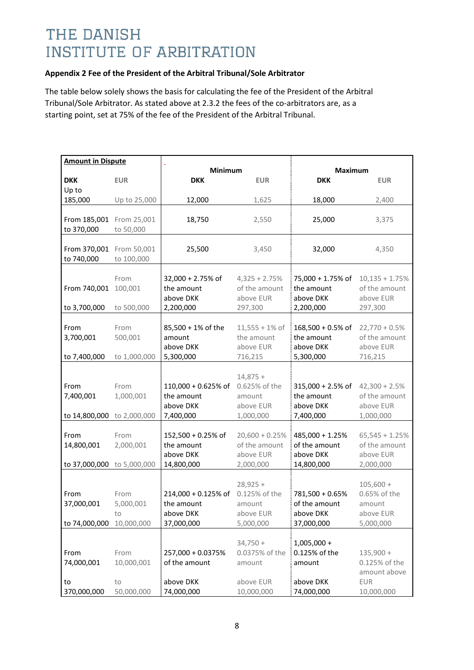#### **Appendix 2 Fee of the President of the Arbitral Tribunal/Sole Arbitrator**

The table below solely shows the basis for calculating the fee of the President of the Arbitral Tribunal/Sole Arbitrator. As stated above at 2.3.2 the fees of the co-arbitrators are, as a starting point, set at 75% of the fee of the President of the Arbitral Tribunal.

| <b>Amount in Dispute</b>               |                  |                        |                             |                        |                             |
|----------------------------------------|------------------|------------------------|-----------------------------|------------------------|-----------------------------|
|                                        |                  | <b>Minimum</b>         |                             | <b>Maximum</b>         |                             |
| <b>DKK</b><br>Up to                    | <b>EUR</b>       | <b>DKK</b>             | <b>EUR</b>                  | <b>DKK</b>             | <b>EUR</b>                  |
| 185,000                                | Up to 25,000     | 12,000                 | 1,625                       | 18,000                 | 2,400                       |
|                                        |                  |                        |                             |                        |                             |
| From 185,001 From 25,001               |                  | 18,750                 | 2,550                       | 25,000                 | 3,375                       |
| to 370,000                             | to 50,000        |                        |                             |                        |                             |
|                                        |                  |                        |                             |                        |                             |
| From 370,001 From 50,001<br>to 740,000 | to 100,000       | 25,500                 | 3,450                       | 32,000                 | 4,350                       |
|                                        |                  |                        |                             |                        |                             |
|                                        | From             | 32,000 + 2.75% of      | $4,325 + 2.75%$             | 75,000 + 1.75% of      | $10,135 + 1.75%$            |
| From 740,001                           | 100,001          | the amount             | of the amount               | the amount             | of the amount               |
|                                        |                  | above DKK              | above EUR                   | above DKK              | above EUR                   |
| to 3,700,000                           | to 500,000       | 2,200,000              | 297,300                     | 2,200,000              | 297,300                     |
| From                                   | From             | 85,500 + 1% of the     | $11,555 + 1\%$ of           | 168,500 + 0.5% of      | $22,770 + 0.5%$             |
| 3,700,001                              | 500,001          | amount                 | the amount                  | the amount             | of the amount               |
|                                        |                  | above DKK              | above EUR                   | above DKK              | above EUR                   |
| to 7,400,000                           | to 1,000,000     | 5,300,000              | 716,215                     | 5,300,000              | 716,215                     |
|                                        |                  |                        |                             |                        |                             |
|                                        |                  |                        | $14,875+$                   |                        |                             |
| From                                   | From             | 110,000 + 0.625% of    | 0.625% of the               | 315,000 + 2.5% of      | $42,300 + 2.5%$             |
| 7,400,001                              | 1,000,001        | the amount             | amount                      | the amount             | of the amount               |
| to 14,800,000 to 2,000,000             |                  | above DKK<br>7,400,000 | above EUR<br>1,000,000      | above DKK<br>7,400,000 | above EUR<br>1,000,000      |
|                                        |                  |                        |                             |                        |                             |
| From                                   | From             | 152,500 + 0.25% of     | $20,600 + 0.25%$            | 485,000 + 1.25%        | $65,545 + 1.25%$            |
| 14,800,001                             | 2,000,001        | the amount             | of the amount               | of the amount          | of the amount               |
|                                        |                  | above DKK              | above EUR                   | above DKK              | above EUR                   |
| to 37,000,000 to 5,000,000             |                  | 14,800,000             | 2,000,000                   | 14,800,000             | 2,000,000                   |
|                                        |                  |                        |                             |                        |                             |
| From                                   | From             | 214,000 + 0.125% of    | $28,925 +$<br>0.125% of the | 781,500 + 0.65%        | $105,600 +$<br>0.65% of the |
| 37,000,001                             | 5,000,001        | the amount             | amount                      | of the amount          | amount                      |
|                                        | to               | above DKK              | above EUR                   | above DKK              | above EUR                   |
| to 74,000,000                          | 10,000,000       | 37,000,000             | 5,000,000                   | 37,000,000             | 5,000,000                   |
|                                        |                  |                        |                             |                        |                             |
|                                        |                  |                        | $34,750 +$                  | $1,005,000 +$          |                             |
| From                                   | From             | 257,000 + 0.0375%      | 0.0375% of the              | 0.125% of the          | $135,900 +$                 |
| 74,000,001                             | 10,000,001       | of the amount          | amount                      | amount                 | 0.125% of the               |
|                                        |                  | above DKK              | above EUR                   | above DKK              | amount above<br><b>EUR</b>  |
| to<br>370,000,000                      | to<br>50,000,000 | 74,000,000             | 10,000,000                  | 74,000,000             | 10,000,000                  |
|                                        |                  |                        |                             |                        |                             |